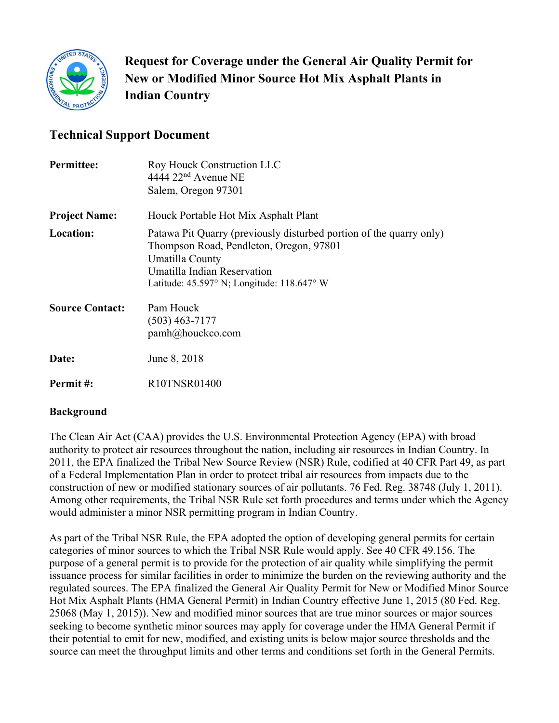

**Request for Coverage under the General Air Quality Permit for New or Modified Minor Source Hot Mix Asphalt Plants in Indian Country** 

# **Technical Support Document**

| <b>Permittee:</b>      | Roy Houck Construction LLC<br>$4444$ $22nd$ Avenue NE<br>Salem, Oregon 97301                                                                                                                                                     |
|------------------------|----------------------------------------------------------------------------------------------------------------------------------------------------------------------------------------------------------------------------------|
| <b>Project Name:</b>   | Houck Portable Hot Mix Asphalt Plant                                                                                                                                                                                             |
| <b>Location:</b>       | Patawa Pit Quarry (previously disturbed portion of the quarry only)<br>Thompson Road, Pendleton, Oregon, 97801<br>Umatilla County<br>Umatilla Indian Reservation<br>Latitude: $45.597^{\circ}$ N; Longitude: $118.647^{\circ}$ W |
| <b>Source Contact:</b> | Pam Houck<br>$(503)$ 463-7177<br>pamh@houckco.com                                                                                                                                                                                |
| Date:                  | June 8, 2018                                                                                                                                                                                                                     |
| Permit#:               | R10TNSR01400                                                                                                                                                                                                                     |

#### **Background**

The Clean Air Act (CAA) provides the U.S. Environmental Protection Agency (EPA) with broad authority to protect air resources throughout the nation, including air resources in Indian Country. In 2011, the EPA finalized the Tribal New Source Review (NSR) Rule, codified at 40 CFR Part 49, as part of a Federal Implementation Plan in order to protect tribal air resources from impacts due to the construction of new or modified stationary sources of air pollutants. 76 Fed. Reg. 38748 (July 1, 2011). Among other requirements, the Tribal NSR Rule set forth procedures and terms under which the Agency would administer a minor NSR permitting program in Indian Country.

As part of the Tribal NSR Rule, the EPA adopted the option of developing general permits for certain categories of minor sources to which the Tribal NSR Rule would apply. See 40 CFR 49.156. The purpose of a general permit is to provide for the protection of air quality while simplifying the permit issuance process for similar facilities in order to minimize the burden on the reviewing authority and the regulated sources. The EPA finalized the General Air Quality Permit for New or Modified Minor Source Hot Mix Asphalt Plants (HMA General Permit) in Indian Country effective June 1, 2015 (80 Fed. Reg. 25068 (May 1, 2015)). New and modified minor sources that are true minor sources or major sources seeking to become synthetic minor sources may apply for coverage under the HMA General Permit if their potential to emit for new, modified, and existing units is below major source thresholds and the source can meet the throughput limits and other terms and conditions set forth in the General Permits.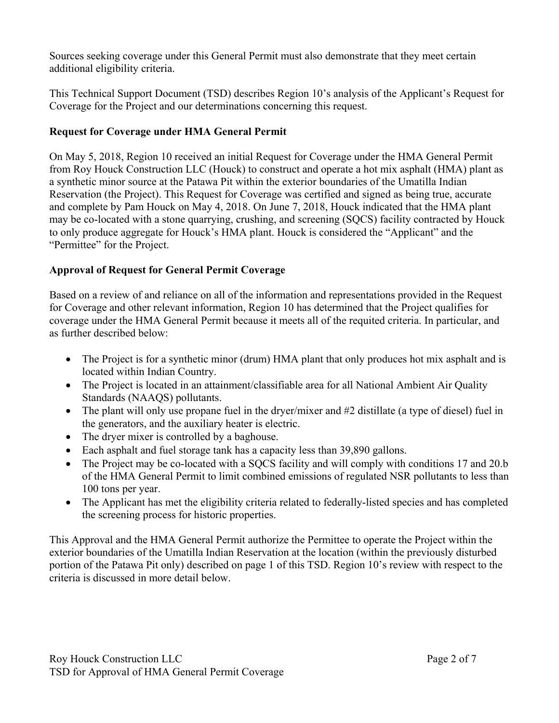Sources seeking coverage under this General Permit must also demonstrate that they meet certain additional eligibility criteria.

This Technical Support Document (TSD) describes Region 10's analysis of the Applicant's Request for Coverage for the Project and our determinations concerning this request.

# **Request for Coverage under HMA General Permit**

On May 5, 2018, Region 10 received an initial Request for Coverage under the HMA General Permit from Roy Houck Construction LLC (Houck) to construct and operate a hot mix asphalt (HMA) plant as a synthetic minor source at the Patawa Pit within the exterior boundaries of the Umatilla Indian Reservation (the Project). This Request for Coverage was certified and signed as being true, accurate and complete by Pam Houck on May 4, 2018. On June 7, 2018, Houck indicated that the HMA plant may be co-located with a stone quarrying, crushing, and screening (SQCS) facility contracted by Houck to only produce aggregate for Houck's HMA plant. Houck is considered the "Applicant" and the "Permittee" for the Project.

# **Approval of Request for General Permit Coverage**

Based on a review of and reliance on all of the information and representations provided in the Request for Coverage and other relevant information, Region 10 has determined that the Project qualifies for coverage under the HMA General Permit because it meets all of the requited criteria. In particular, and as further described below:

- The Project is for a synthetic minor (drum) HMA plant that only produces hot mix asphalt and is located within Indian Country.
- The Project is located in an attainment/classifiable area for all National Ambient Air Quality Standards (NAAQS) pollutants.
- The plant will only use propane fuel in the dryer/mixer and #2 distillate (a type of diesel) fuel in the generators, and the auxiliary heater is electric.
- The dryer mixer is controlled by a baghouse.
- Each asphalt and fuel storage tank has a capacity less than 39,890 gallons.
- The Project may be co-located with a SOCS facility and will comply with conditions 17 and 20.b of the HMA General Permit to limit combined emissions of regulated NSR pollutants to less than 100 tons per year.
- The Applicant has met the eligibility criteria related to federally-listed species and has completed the screening process for historic properties.

This Approval and the HMA General Permit authorize the Permittee to operate the Project within the exterior boundaries of the Umatilla Indian Reservation at the location (within the previously disturbed portion of the Patawa Pit only) described on page 1 of this TSD. Region 10's review with respect to the criteria is discussed in more detail below.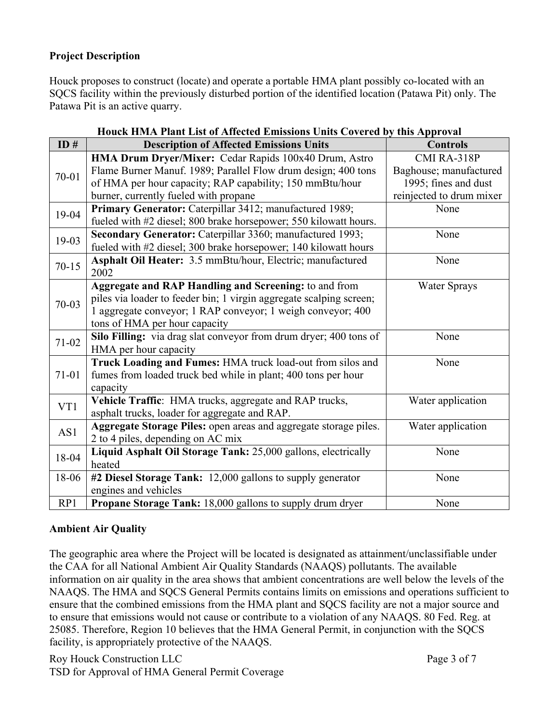### **Project Description**

Houck proposes to construct (locate) and operate a portable HMA plant possibly co-located with an SQCS facility within the previously disturbed portion of the identified location (Patawa Pit) only. The Patawa Pit is an active quarry.

|           | ск пила і ване шмета апісског шимовов стим со сесена будим акругосаг |                          |
|-----------|----------------------------------------------------------------------|--------------------------|
| ID#       | <b>Description of Affected Emissions Units</b>                       | <b>Controls</b>          |
|           | HMA Drum Dryer/Mixer: Cedar Rapids 100x40 Drum, Astro                | CMI RA-318P              |
| $70 - 01$ | Flame Burner Manuf. 1989; Parallel Flow drum design; 400 tons        | Baghouse; manufactured   |
|           | of HMA per hour capacity; RAP capability; 150 mmBtu/hour             | 1995; fines and dust     |
|           | burner, currently fueled with propane                                | reinjected to drum mixer |
| 19-04     | Primary Generator: Caterpillar 3412; manufactured 1989;              | None                     |
|           | fueled with #2 diesel; 800 brake horsepower; 550 kilowatt hours.     |                          |
| 19-03     | Secondary Generator: Caterpillar 3360; manufactured 1993;            | None                     |
|           | fueled with #2 diesel; 300 brake horsepower; 140 kilowatt hours      |                          |
| $70 - 15$ | Asphalt Oil Heater: 3.5 mmBtu/hour, Electric; manufactured           | None                     |
|           | 2002                                                                 |                          |
|           | Aggregate and RAP Handling and Screening: to and from                | <b>Water Sprays</b>      |
| $70-03$   | piles via loader to feeder bin; 1 virgin aggregate scalping screen;  |                          |
|           | 1 aggregate conveyor; 1 RAP conveyor; 1 weigh conveyor; 400          |                          |
|           | tons of HMA per hour capacity                                        |                          |
| $71-02$   | Silo Filling: via drag slat conveyor from drum dryer; 400 tons of    | None                     |
|           | HMA per hour capacity                                                |                          |
|           | Truck Loading and Fumes: HMA truck load-out from silos and           | None                     |
| $71 - 01$ | fumes from loaded truck bed while in plant; 400 tons per hour        |                          |
|           | capacity                                                             |                          |
| VT1       | Vehicle Traffic: HMA trucks, aggregate and RAP trucks,               | Water application        |
|           | asphalt trucks, loader for aggregate and RAP.                        |                          |
| AS1       | Aggregate Storage Piles: open areas and aggregate storage piles.     | Water application        |
|           | 2 to 4 piles, depending on AC mix                                    |                          |
| 18-04     | Liquid Asphalt Oil Storage Tank: 25,000 gallons, electrically        | None                     |
|           | heated                                                               |                          |
| 18-06     | #2 Diesel Storage Tank: 12,000 gallons to supply generator           | None                     |
|           | engines and vehicles                                                 |                          |
| RP1       | Propane Storage Tank: 18,000 gallons to supply drum dryer            | None                     |

|  |  |  |  | Houck HMA Plant List of Affected Emissions Units Covered by this Approval |
|--|--|--|--|---------------------------------------------------------------------------|

#### **Ambient Air Quality**

The geographic area where the Project will be located is designated as attainment/unclassifiable under the CAA for all National Ambient Air Quality Standards (NAAQS) pollutants. The available information on air quality in the area shows that ambient concentrations are well below the levels of the NAAQS. The HMA and SQCS General Permits contains limits on emissions and operations sufficient to ensure that the combined emissions from the HMA plant and SQCS facility are not a major source and to ensure that emissions would not cause or contribute to a violation of any NAAQS. 80 Fed. Reg. at 25085. Therefore, Region 10 believes that the HMA General Permit, in conjunction with the SQCS facility, is appropriately protective of the NAAQS.

Roy Houck Construction LLC Page 3 of 7 TSD for Approval of HMA General Permit Coverage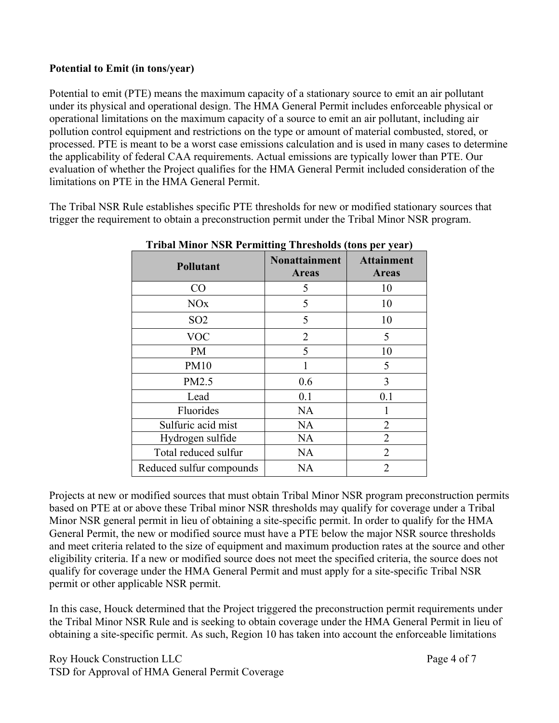#### **Potential to Emit (in tons/year)**

Potential to emit (PTE) means the maximum capacity of a stationary source to emit an air pollutant under its physical and operational design. The HMA General Permit includes enforceable physical or operational limitations on the maximum capacity of a source to emit an air pollutant, including air pollution control equipment and restrictions on the type or amount of material combusted, stored, or processed. PTE is meant to be a worst case emissions calculation and is used in many cases to determine the applicability of federal CAA requirements. Actual emissions are typically lower than PTE. Our evaluation of whether the Project qualifies for the HMA General Permit included consideration of the limitations on PTE in the HMA General Permit.

The Tribal NSR Rule establishes specific PTE thresholds for new or modified stationary sources that trigger the requirement to obtain a preconstruction permit under the Tribal Minor NSR program.

| <b>Pollutant</b>         | <b>Nonattainment</b><br><b>Areas</b> | <b>Attainment</b><br><b>Areas</b> |  |  |
|--------------------------|--------------------------------------|-----------------------------------|--|--|
| CO                       | 5                                    | 10                                |  |  |
| <b>NO<sub>x</sub></b>    | 5                                    | 10                                |  |  |
| SO <sub>2</sub>          | 5                                    | 10                                |  |  |
| <b>VOC</b>               | $\overline{2}$                       | 5                                 |  |  |
| PM                       | 5                                    | 10                                |  |  |
| <b>PM10</b>              |                                      | 5                                 |  |  |
| PM2.5                    | 0.6                                  | 3                                 |  |  |
| Lead                     | 0.1                                  | 0.1                               |  |  |
| Fluorides                | <b>NA</b>                            |                                   |  |  |
| Sulfuric acid mist       | <b>NA</b>                            | $\overline{2}$                    |  |  |
| Hydrogen sulfide         | <b>NA</b>                            | $\overline{2}$                    |  |  |
| Total reduced sulfur     | <b>NA</b>                            | 2                                 |  |  |
| Reduced sulfur compounds | <b>NA</b>                            | $\overline{2}$                    |  |  |

**Tribal Minor NSR Permitting Thresholds (tons per year)** 

Projects at new or modified sources that must obtain Tribal Minor NSR program preconstruction permits based on PTE at or above these Tribal minor NSR thresholds may qualify for coverage under a Tribal Minor NSR general permit in lieu of obtaining a site-specific permit. In order to qualify for the HMA General Permit, the new or modified source must have a PTE below the major NSR source thresholds and meet criteria related to the size of equipment and maximum production rates at the source and other eligibility criteria. If a new or modified source does not meet the specified criteria, the source does not qualify for coverage under the HMA General Permit and must apply for a site-specific Tribal NSR permit or other applicable NSR permit.

In this case, Houck determined that the Project triggered the preconstruction permit requirements under the Tribal Minor NSR Rule and is seeking to obtain coverage under the HMA General Permit in lieu of obtaining a site-specific permit. As such, Region 10 has taken into account the enforceable limitations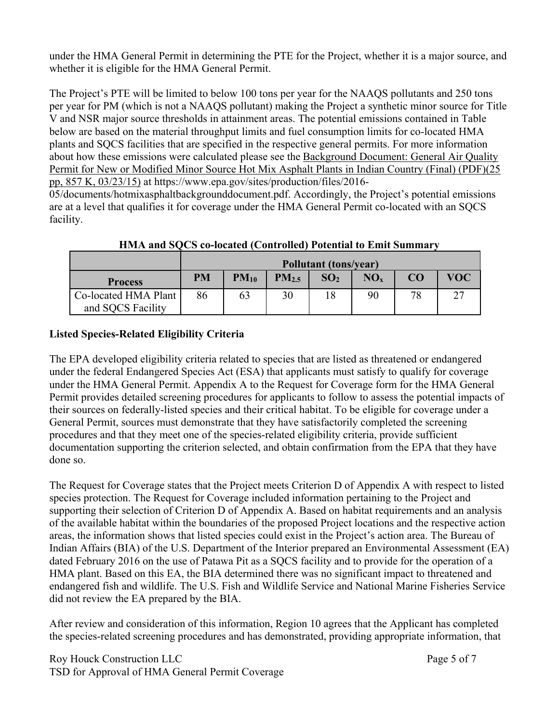under the HMA General Permit in determining the PTE for the Project, whether it is a major source, and whether it is eligible for the HMA General Permit.

The Project's PTE will be limited to below 100 tons per year for the NAAQS pollutants and 250 tons per year for PM (which is not a NAAQS pollutant) making the Project a synthetic minor source for Title V and NSR major source thresholds in attainment areas. The potential emissions contained in Table below are based on the material throughput limits and fuel consumption limits for co-located HMA plants and SQCS facilities that are specified in the respective general permits. For more information about how these emissions were calculated please see the Background Document: General Air Quality Permit for New or Modified Minor Source Hot Mix Asphalt Plants in Indian Country (Final) (PDF)(25 pp, 857 K, 03/23/15) at https://www.epa.gov/sites/production/files/2016-

05/documents/hotmixasphaltbackgrounddocument.pdf. Accordingly, the Project's potential emissions are at a level that qualifies it for coverage under the HMA General Permit co-located with an SQCS facility.

|                                           | Pollutant (tons/year) |           |                   |                 |                 |    |            |
|-------------------------------------------|-----------------------|-----------|-------------------|-----------------|-----------------|----|------------|
| <b>Process</b>                            | <b>PM</b>             | $PM_{10}$ | PM <sub>2.5</sub> | SO <sub>2</sub> | NO <sub>x</sub> | CO | <b>VOC</b> |
| Co-located HMA Plant<br>and SQCS Facility | 86                    | 63        | 30                |                 | 90              | 78 | $\bigcap$  |

**HMA and SQCS co-located (Controlled) Potential to Emit Summary** 

# **Listed Species-Related Eligibility Criteria**

The EPA developed eligibility criteria related to species that are listed as threatened or endangered under the federal Endangered Species Act (ESA) that applicants must satisfy to qualify for coverage under the HMA General Permit. Appendix A to the Request for Coverage form for the HMA General Permit provides detailed screening procedures for applicants to follow to assess the potential impacts of their sources on federally-listed species and their critical habitat. To be eligible for coverage under a General Permit, sources must demonstrate that they have satisfactorily completed the screening procedures and that they meet one of the species-related eligibility criteria, provide sufficient documentation supporting the criterion selected, and obtain confirmation from the EPA that they have done so.

The Request for Coverage states that the Project meets Criterion D of Appendix A with respect to listed species protection. The Request for Coverage included information pertaining to the Project and supporting their selection of Criterion D of Appendix A. Based on habitat requirements and an analysis of the available habitat within the boundaries of the proposed Project locations and the respective action areas, the information shows that listed species could exist in the Project's action area. The Bureau of Indian Affairs (BIA) of the U.S. Department of the Interior prepared an Environmental Assessment (EA) dated February 2016 on the use of Patawa Pit as a SQCS facility and to provide for the operation of a HMA plant. Based on this EA, the BIA determined there was no significant impact to threatened and endangered fish and wildlife. The U.S. Fish and Wildlife Service and National Marine Fisheries Service did not review the EA prepared by the BIA.

After review and consideration of this information, Region 10 agrees that the Applicant has completed the species-related screening procedures and has demonstrated, providing appropriate information, that

Roy Houck Construction LLC Page 5 of 7 TSD for Approval of HMA General Permit Coverage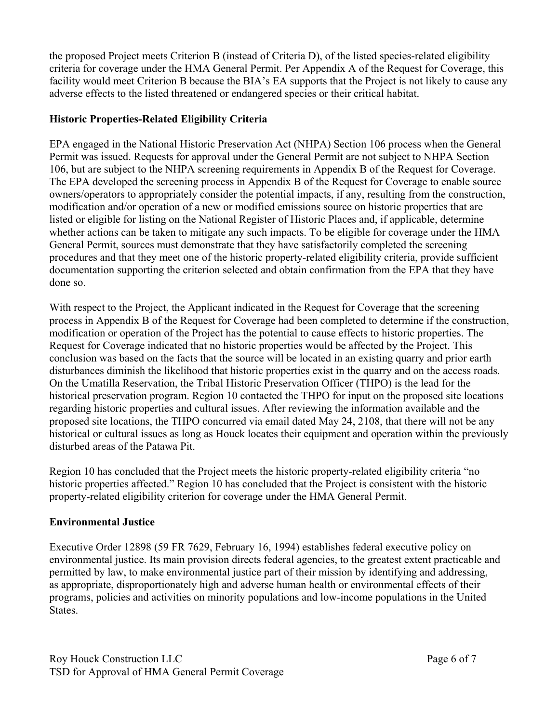the proposed Project meets Criterion B (instead of Criteria D), of the listed species-related eligibility criteria for coverage under the HMA General Permit. Per Appendix A of the Request for Coverage, this facility would meet Criterion B because the BIA's EA supports that the Project is not likely to cause any adverse effects to the listed threatened or endangered species or their critical habitat.

#### **Historic Properties-Related Eligibility Criteria**

EPA engaged in the National Historic Preservation Act (NHPA) Section 106 process when the General Permit was issued. Requests for approval under the General Permit are not subject to NHPA Section 106, but are subject to the NHPA screening requirements in Appendix B of the Request for Coverage. The EPA developed the screening process in Appendix B of the Request for Coverage to enable source owners/operators to appropriately consider the potential impacts, if any, resulting from the construction, modification and/or operation of a new or modified emissions source on historic properties that are listed or eligible for listing on the National Register of Historic Places and, if applicable, determine whether actions can be taken to mitigate any such impacts. To be eligible for coverage under the HMA General Permit, sources must demonstrate that they have satisfactorily completed the screening procedures and that they meet one of the historic property-related eligibility criteria, provide sufficient documentation supporting the criterion selected and obtain confirmation from the EPA that they have done so.

With respect to the Project, the Applicant indicated in the Request for Coverage that the screening process in Appendix B of the Request for Coverage had been completed to determine if the construction, modification or operation of the Project has the potential to cause effects to historic properties. The Request for Coverage indicated that no historic properties would be affected by the Project. This conclusion was based on the facts that the source will be located in an existing quarry and prior earth disturbances diminish the likelihood that historic properties exist in the quarry and on the access roads. On the Umatilla Reservation, the Tribal Historic Preservation Officer (THPO) is the lead for the historical preservation program. Region 10 contacted the THPO for input on the proposed site locations regarding historic properties and cultural issues. After reviewing the information available and the proposed site locations, the THPO concurred via email dated May 24, 2108, that there will not be any historical or cultural issues as long as Houck locates their equipment and operation within the previously disturbed areas of the Patawa Pit.

Region 10 has concluded that the Project meets the historic property-related eligibility criteria "no historic properties affected." Region 10 has concluded that the Project is consistent with the historic property-related eligibility criterion for coverage under the HMA General Permit.

#### **Environmental Justice**

Executive Order 12898 (59 FR 7629, February 16, 1994) establishes federal executive policy on environmental justice. Its main provision directs federal agencies, to the greatest extent practicable and permitted by law, to make environmental justice part of their mission by identifying and addressing, as appropriate, disproportionately high and adverse human health or environmental effects of their programs, policies and activities on minority populations and low-income populations in the United States.